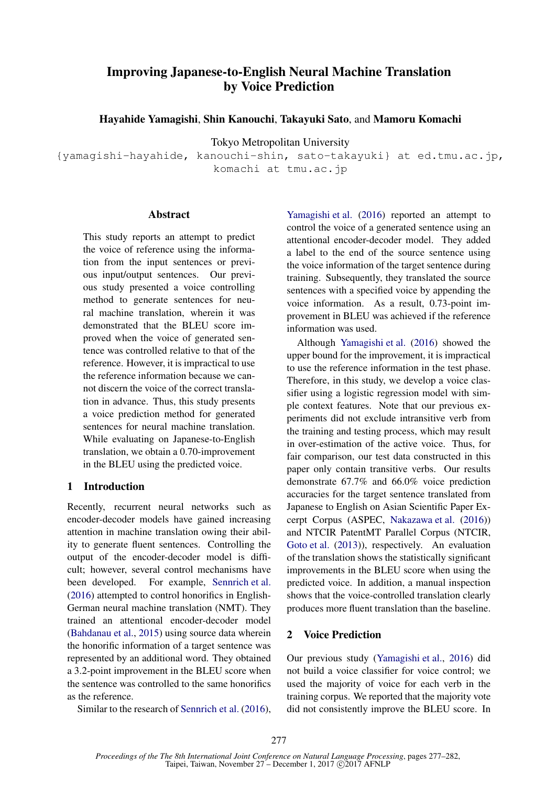# Improving Japanese-to-English Neural Machine Translation by Voice Prediction

Hayahide Yamagishi, Shin Kanouchi, Takayuki Sato, and Mamoru Komachi

Tokyo Metropolitan University

{yamagishi-hayahide, kanouchi-shin, sato-takayuki} at ed.tmu.ac.jp, komachi at tmu.ac.jp

# **Abstract**

This study reports an attempt to predict the voice of reference using the information from the input sentences or previous input/output sentences. Our previous study presented a voice controlling method to generate sentences for neural machine translation, wherein it was demonstrated that the BLEU score improved when the voice of generated sentence was controlled relative to that of the reference. However, it is impractical to use the reference information because we cannot discern the voice of the correct translation in advance. Thus, this study presents a voice prediction method for generated sentences for neural machine translation. While evaluating on Japanese-to-English translation, we obtain a 0.70-improvement in the BLEU using the predicted voice.

# 1 Introduction

Recently, recurrent neural networks such as encoder-decoder models have gained increasing attention in machine translation owing their ability to generate fluent sentences. Controlling the output of the encoder-decoder model is difficult; however, several control mechanisms have been developed. For example, Sennrich et al. (2016) attempted to control honorifics in English-German neural machine translation (NMT). They trained an attentional encoder-decoder model (Bahdanau et al., 2015) using source data wherein the honorific information of a target sentence was represented by an additional word. They obtained a 3.2-point improvement in the BLEU score when the sentence was controlled to the same honorifics as the reference.

Similar to the research of Sennrich et al. (2016),

Yamagishi et al. (2016) reported an attempt to control the voice of a generated sentence using an attentional encoder-decoder model. They added a label to the end of the source sentence using the voice information of the target sentence during training. Subsequently, they translated the source sentences with a specified voice by appending the voice information. As a result, 0.73-point improvement in BLEU was achieved if the reference information was used.

Although Yamagishi et al. (2016) showed the upper bound for the improvement, it is impractical to use the reference information in the test phase. Therefore, in this study, we develop a voice classifier using a logistic regression model with simple context features. Note that our previous experiments did not exclude intransitive verb from the training and testing process, which may result in over-estimation of the active voice. Thus, for fair comparison, our test data constructed in this paper only contain transitive verbs. Our results demonstrate 67.7% and 66.0% voice prediction accuracies for the target sentence translated from Japanese to English on Asian Scientific Paper Excerpt Corpus (ASPEC, Nakazawa et al. (2016)) and NTCIR PatentMT Parallel Corpus (NTCIR, Goto et al. (2013)), respectively. An evaluation of the translation shows the statistically significant improvements in the BLEU score when using the predicted voice. In addition, a manual inspection shows that the voice-controlled translation clearly produces more fluent translation than the baseline.

# 2 Voice Prediction

Our previous study (Yamagishi et al., 2016) did not build a voice classifier for voice control; we used the majority of voice for each verb in the training corpus. We reported that the majority vote did not consistently improve the BLEU score. In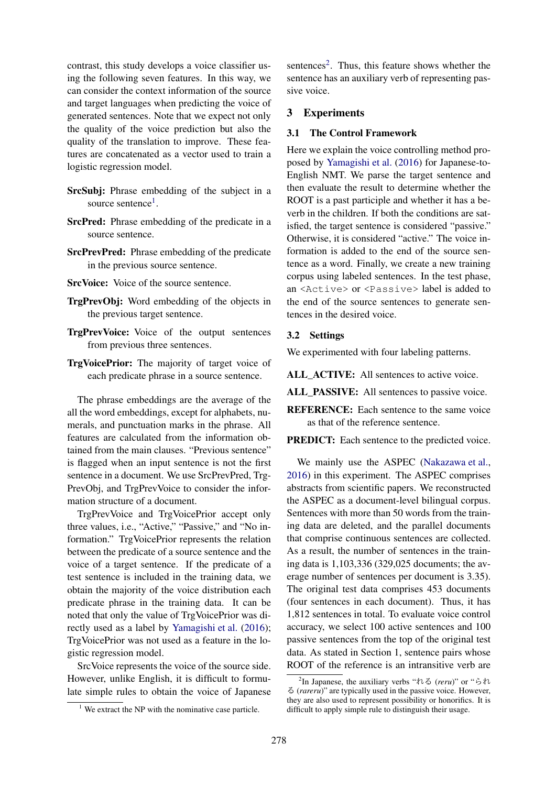contrast, this study develops a voice classifier using the following seven features. In this way, we can consider the context information of the source and target languages when predicting the voice of generated sentences. Note that we expect not only the quality of the voice prediction but also the quality of the translation to improve. These features are concatenated as a vector used to train a logistic regression model.

- SrcSubj: Phrase embedding of the subject in a source sentence<sup>1</sup>.
- SrcPred: Phrase embedding of the predicate in a source sentence.
- SrcPrevPred: Phrase embedding of the predicate in the previous source sentence.
- SrcVoice: Voice of the source sentence.
- TrgPrevObj: Word embedding of the objects in the previous target sentence.
- TrgPrevVoice: Voice of the output sentences from previous three sentences.
- TrgVoicePrior: The majority of target voice of each predicate phrase in a source sentence.

The phrase embeddings are the average of the all the word embeddings, except for alphabets, numerals, and punctuation marks in the phrase. All features are calculated from the information obtained from the main clauses. "Previous sentence" is flagged when an input sentence is not the first sentence in a document. We use SrcPrevPred, Trg-PrevObj, and TrgPrevVoice to consider the information structure of a document.

TrgPrevVoice and TrgVoicePrior accept only three values, i.e., "Active," "Passive," and "No information." TrgVoicePrior represents the relation between the predicate of a source sentence and the voice of a target sentence. If the predicate of a test sentence is included in the training data, we obtain the majority of the voice distribution each predicate phrase in the training data. It can be noted that only the value of TrgVoicePrior was directly used as a label by Yamagishi et al. (2016); TrgVoicePrior was not used as a feature in the logistic regression model.

SrcVoice represents the voice of the source side. However, unlike English, it is difficult to formulate simple rules to obtain the voice of Japanese

sentences<sup>2</sup>. Thus, this feature shows whether the sentence has an auxiliary verb of representing passive voice.

# 3 Experiments

#### 3.1 The Control Framework

Here we explain the voice controlling method proposed by Yamagishi et al. (2016) for Japanese-to-English NMT. We parse the target sentence and then evaluate the result to determine whether the ROOT is a past participle and whether it has a beverb in the children. If both the conditions are satisfied, the target sentence is considered "passive." Otherwise, it is considered "active." The voice information is added to the end of the source sentence as a word. Finally, we create a new training corpus using labeled sentences. In the test phase, an <Active> or <Passive> label is added to the end of the source sentences to generate sentences in the desired voice.

# 3.2 Settings

We experimented with four labeling patterns.

ALL ACTIVE: All sentences to active voice.

ALL\_PASSIVE: All sentences to passive voice.

REFERENCE: Each sentence to the same voice as that of the reference sentence.

PREDICT: Each sentence to the predicted voice.

We mainly use the ASPEC (Nakazawa et al., 2016) in this experiment. The ASPEC comprises abstracts from scientific papers. We reconstructed the ASPEC as a document-level bilingual corpus. Sentences with more than 50 words from the training data are deleted, and the parallel documents that comprise continuous sentences are collected. As a result, the number of sentences in the training data is 1,103,336 (329,025 documents; the average number of sentences per document is 3.35). The original test data comprises 453 documents (four sentences in each document). Thus, it has 1,812 sentences in total. To evaluate voice control accuracy, we select 100 active sentences and 100 passive sentences from the top of the original test data. As stated in Section 1, sentence pairs whose ROOT of the reference is an intransitive verb are

 $1$  We extract the NP with the nominative case particle.

<sup>2</sup> In Japanese, the auxiliary verbs "れる (*reru*)" or "られ る (*rareru*)" are typically used in the passive voice. However, they are also used to represent possibility or honorifics. It is difficult to apply simple rule to distinguish their usage.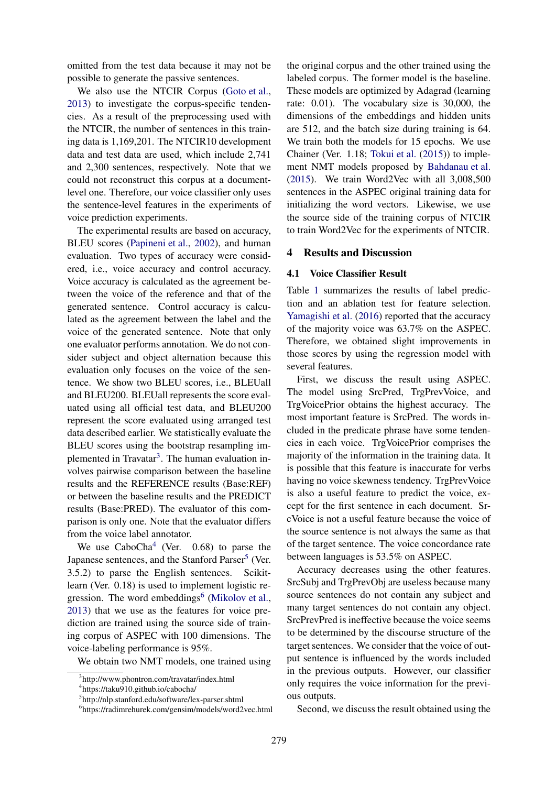omitted from the test data because it may not be possible to generate the passive sentences.

We also use the NTCIR Corpus (Goto et al., 2013) to investigate the corpus-specific tendencies. As a result of the preprocessing used with the NTCIR, the number of sentences in this training data is 1,169,201. The NTCIR10 development data and test data are used, which include 2,741 and 2,300 sentences, respectively. Note that we could not reconstruct this corpus at a documentlevel one. Therefore, our voice classifier only uses the sentence-level features in the experiments of voice prediction experiments.

The experimental results are based on accuracy, BLEU scores (Papineni et al., 2002), and human evaluation. Two types of accuracy were considered, i.e., voice accuracy and control accuracy. Voice accuracy is calculated as the agreement between the voice of the reference and that of the generated sentence. Control accuracy is calculated as the agreement between the label and the voice of the generated sentence. Note that only one evaluator performs annotation. We do not consider subject and object alternation because this evaluation only focuses on the voice of the sentence. We show two BLEU scores, i.e., BLEUall and BLEU200. BLEUall represents the score evaluated using all official test data, and BLEU200 represent the score evaluated using arranged test data described earlier. We statistically evaluate the BLEU scores using the bootstrap resampling implemented in Travatar<sup>3</sup>. The human evaluation involves pairwise comparison between the baseline results and the REFERENCE results (Base:REF) or between the baseline results and the PREDICT results (Base:PRED). The evaluator of this comparison is only one. Note that the evaluator differs from the voice label annotator.

We use  $CaboCha<sup>4</sup>$  (Ver. 0.68) to parse the Japanese sentences, and the Stanford Parser<sup>5</sup> (Ver. 3.5.2) to parse the English sentences. Scikitlearn (Ver. 0.18) is used to implement logistic regression. The word embeddings<sup>6</sup> (Mikolov et al., 2013) that we use as the features for voice prediction are trained using the source side of training corpus of ASPEC with 100 dimensions. The voice-labeling performance is 95%.

We obtain two NMT models, one trained using

the original corpus and the other trained using the labeled corpus. The former model is the baseline. These models are optimized by Adagrad (learning rate: 0.01). The vocabulary size is 30,000, the dimensions of the embeddings and hidden units are 512, and the batch size during training is 64. We train both the models for 15 epochs. We use Chainer (Ver. 1.18; Tokui et al. (2015)) to implement NMT models proposed by Bahdanau et al. (2015). We train Word2Vec with all 3,008,500 sentences in the ASPEC original training data for initializing the word vectors. Likewise, we use the source side of the training corpus of NTCIR to train Word2Vec for the experiments of NTCIR.

#### 4 Results and Discussion

#### 4.1 Voice Classifier Result

Table 1 summarizes the results of label prediction and an ablation test for feature selection. Yamagishi et al. (2016) reported that the accuracy of the majority voice was 63.7% on the ASPEC. Therefore, we obtained slight improvements in those scores by using the regression model with several features.

First, we discuss the result using ASPEC. The model using SrcPred, TrgPrevVoice, and TrgVoicePrior obtains the highest accuracy. The most important feature is SrcPred. The words included in the predicate phrase have some tendencies in each voice. TrgVoicePrior comprises the majority of the information in the training data. It is possible that this feature is inaccurate for verbs having no voice skewness tendency. TrgPrevVoice is also a useful feature to predict the voice, except for the first sentence in each document. SrcVoice is not a useful feature because the voice of the source sentence is not always the same as that of the target sentence. The voice concordance rate between languages is 53.5% on ASPEC.

Accuracy decreases using the other features. SrcSubj and TrgPrevObj are useless because many source sentences do not contain any subject and many target sentences do not contain any object. SrcPrevPred is ineffective because the voice seems to be determined by the discourse structure of the target sentences. We consider that the voice of output sentence is influenced by the words included in the previous outputs. However, our classifier only requires the voice information for the previous outputs.

Second, we discuss the result obtained using the

<sup>3</sup> http://www.phontron.com/travatar/index.html

<sup>4</sup> https://taku910.github.io/cabocha/

<sup>5</sup> http://nlp.stanford.edu/software/lex-parser.shtml

<sup>6</sup> https://radimrehurek.com/gensim/models/word2vec.html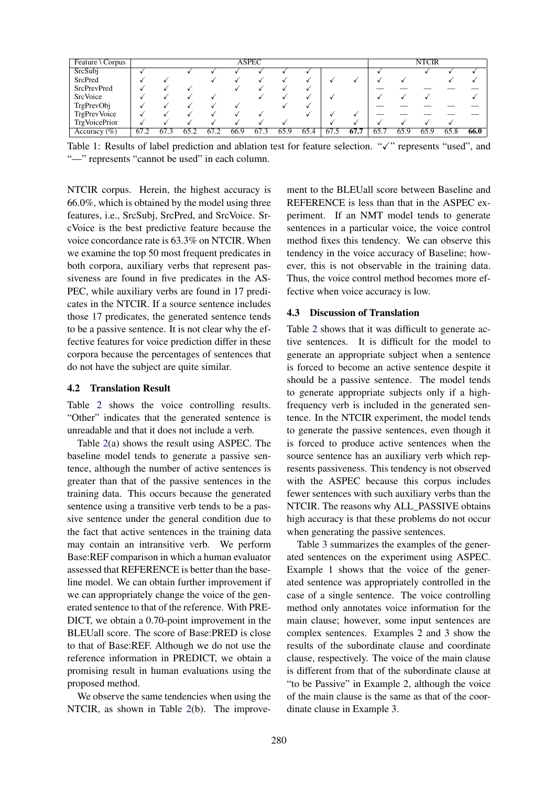| Feature \ Corpus     |      |          |      |      |      | <b>ASPEC</b> |      |      |      |      |      |      | <b>NTCIR</b> |      |      |
|----------------------|------|----------|------|------|------|--------------|------|------|------|------|------|------|--------------|------|------|
| SrcSubj              |      |          |      |      |      |              |      |      |      |      |      |      |              |      |      |
| SrcPred              |      |          |      |      |      |              |      |      |      |      |      |      |              |      |      |
| <b>SrcPrevPred</b>   |      |          |      |      |      |              |      |      |      |      |      |      |              |      |      |
| SrcVoice             |      |          |      |      |      |              |      |      |      |      |      |      |              |      |      |
| TrgPrevObj           |      |          |      |      |      |              |      |      |      |      |      |      |              |      |      |
| <b>TrgPrevVoice</b>  |      |          |      |      |      |              |      |      |      |      |      |      |              |      |      |
| <b>TrgVoicePrior</b> |      |          |      |      |      |              |      |      |      |      |      |      |              |      |      |
| Accuracy $(\%)$      | 67.2 | 67<br>-3 | 65.2 | 67.2 | 66.9 | 67.3         | 65.9 | 65.4 | 67.5 | 67.7 | 65.7 | 65.9 | 65.9         | 65.8 | 66.0 |

Table 1: Results of label prediction and ablation test for feature selection. "✓" represents "used", and "—" represents "cannot be used" in each column.

NTCIR corpus. Herein, the highest accuracy is 66.0%, which is obtained by the model using three features, i.e., SrcSubj, SrcPred, and SrcVoice. SrcVoice is the best predictive feature because the voice concordance rate is 63.3% on NTCIR. When we examine the top 50 most frequent predicates in both corpora, auxiliary verbs that represent passiveness are found in five predicates in the AS-PEC, while auxiliary verbs are found in 17 predicates in the NTCIR. If a source sentence includes those 17 predicates, the generated sentence tends to be a passive sentence. It is not clear why the effective features for voice prediction differ in these corpora because the percentages of sentences that do not have the subject are quite similar.

# 4.2 Translation Result

Table 2 shows the voice controlling results. "Other" indicates that the generated sentence is unreadable and that it does not include a verb.

Table 2(a) shows the result using ASPEC. The baseline model tends to generate a passive sentence, although the number of active sentences is greater than that of the passive sentences in the training data. This occurs because the generated sentence using a transitive verb tends to be a passive sentence under the general condition due to the fact that active sentences in the training data may contain an intransitive verb. We perform Base:REF comparison in which a human evaluator assessed that REFERENCE is better than the baseline model. We can obtain further improvement if we can appropriately change the voice of the generated sentence to that of the reference. With PRE-DICT, we obtain a 0.70-point improvement in the BLEUall score. The score of Base:PRED is close to that of Base:REF. Although we do not use the reference information in PREDICT, we obtain a promising result in human evaluations using the proposed method.

We observe the same tendencies when using the NTCIR, as shown in Table 2(b). The improvement to the BLEUall score between Baseline and REFERENCE is less than that in the ASPEC experiment. If an NMT model tends to generate sentences in a particular voice, the voice control method fixes this tendency. We can observe this tendency in the voice accuracy of Baseline; however, this is not observable in the training data. Thus, the voice control method becomes more effective when voice accuracy is low.

### 4.3 Discussion of Translation

Table 2 shows that it was difficult to generate active sentences. It is difficult for the model to generate an appropriate subject when a sentence is forced to become an active sentence despite it should be a passive sentence. The model tends to generate appropriate subjects only if a highfrequency verb is included in the generated sentence. In the NTCIR experiment, the model tends to generate the passive sentences, even though it is forced to produce active sentences when the source sentence has an auxiliary verb which represents passiveness. This tendency is not observed with the ASPEC because this corpus includes fewer sentences with such auxiliary verbs than the NTCIR. The reasons why ALL\_PASSIVE obtains high accuracy is that these problems do not occur when generating the passive sentences.

Table 3 summarizes the examples of the generated sentences on the experiment using ASPEC. Example 1 shows that the voice of the generated sentence was appropriately controlled in the case of a single sentence. The voice controlling method only annotates voice information for the main clause; however, some input sentences are complex sentences. Examples 2 and 3 show the results of the subordinate clause and coordinate clause, respectively. The voice of the main clause is different from that of the subordinate clause at "to be Passive" in Example 2, although the voice of the main clause is the same as that of the coordinate clause in Example 3.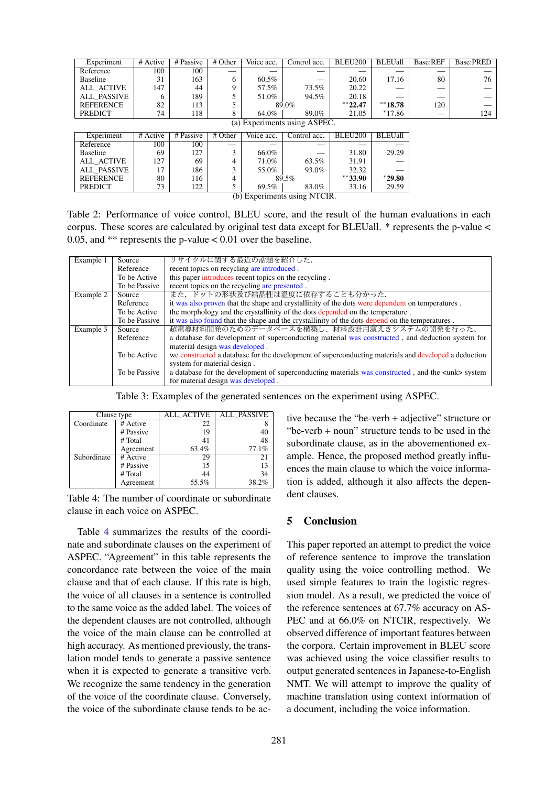| Experiment                   | # Active | # Passive  | $\overline{\text{# Other}}$ | Voice acc. | Control acc. | <b>BLEU200</b> | <b>BLEUall</b> | Base:REF | Base:PRED |
|------------------------------|----------|------------|-----------------------------|------------|--------------|----------------|----------------|----------|-----------|
| Reference                    | 100      | 100        |                             |            |              |                |                |          |           |
| Baseline                     | 31       | 163        | 6                           | 60.5%      |              | 20.60          | 17.16          | 80       | 76        |
| <b>ALL ACTIVE</b>            | 147      | 44         | 9                           | 57.5%      | 73.5%        | 20.22          |                |          |           |
| <b>ALL PASSIVE</b>           | 6        | 189        | 5                           | 51.0%      | 94.5%        | 20.18          |                |          |           |
| <b>REFERENCE</b>             | 82       | 113        | 5                           | 89.0%      |              | $***22.47$     | $**18.78$      | 120      |           |
| <b>PREDICT</b>               | 74       | 118        | 8                           | 64.0%      | 89.0%        | 21.05          | $*17.86$       |          | 124       |
| (a) Experiments using ASPEC. |          |            |                             |            |              |                |                |          |           |
| Experiment                   | # Active | # Passive  | # Other                     | Voice acc. | Control acc. | BLEU200        | <b>BLEUall</b> |          |           |
|                              |          |            |                             |            |              |                |                |          |           |
| Reference                    | 100      | $100^{-7}$ | --                          |            |              |                |                |          |           |
| Baseline                     | 69       | 127        | 3                           | 66.0%      |              | 31.80          | 29.29          |          |           |
| <b>ALL ACTIVE</b>            | 127      | 69         | 4                           | 71.0%      | 63.5%        | 31.91          |                |          |           |
| <b>ALL PASSIVE</b>           | 17       | 186        | 3                           | 55.0%      | 93.0%        | 32.32          |                |          |           |
| <b>REFERENCE</b>             | 80       | 116        | 4                           | 89.5%      |              | $**33.90$      | $*29.80$       |          |           |
| <b>PREDICT</b>               | 73       | 122        | 5                           | 69.5%      | 83.0%        | 33.16          | 29.59          |          |           |
| (b) Experiments using NTCIR. |          |            |                             |            |              |                |                |          |           |

Table 2: Performance of voice control, BLEU score, and the result of the human evaluations in each corpus. These scores are calculated by original test data except for BLEUall. \* represents the p-value < 0.05, and  $**$  represents the p-value  $< 0.01$  over the baseline.

| Example 1 | Source        | リサイクルに関する最近の話題を紹介した.                                                                                    |
|-----------|---------------|---------------------------------------------------------------------------------------------------------|
|           | Reference     | recent topics on recycling are introduced.                                                              |
|           | To be Active  | this paper introduces recent topics on the recycling.                                                   |
|           | To be Passive | recent topics on the recycling are presented.                                                           |
| Example 2 | Source        | また、ドットの形状及び結晶性は温度に依存することも分かった.                                                                          |
|           | Reference     | it was also proven that the shape and crystallinity of the dots were dependent on temperatures.         |
|           | To be Active  | the morphology and the crystallinity of the dots depended on the temperature.                           |
|           | To be Passive | it was also found that the shape and the crystallinity of the dots depend on the temperatures.          |
| Example 3 | Source        | 超電導材料開発のためのデータベースを構築し、材料設計用演えきシステムの開発を行った。                                                              |
|           | Reference     | a database for development of superconducting material was constructed, and deduction system for        |
|           |               | material design was developed.                                                                          |
|           | To be Active  | we constructed a database for the development of superconducting materials and developed a deduction    |
|           |               | system for material design.                                                                             |
|           | To be Passive | a database for the development of superconducting materials was constructed, and the <unk> system</unk> |
|           |               | for material design was developed.                                                                      |

Table 3: Examples of the generated sentences on the experiment using ASPEC.

| Clause type |           | <b>ALL_ACTIVE</b> | ALL PASSIVE |
|-------------|-----------|-------------------|-------------|
| Coordinate  | # Active  | 22                |             |
|             | # Passive | 19                | 40          |
|             | # Total   | 41                | 48          |
|             | Agreement | 63.4%             | 77.1%       |
| Subordinate | # Active  | 29                | 21          |
|             | # Passive | 15                | 13          |
|             | # Total   | 44                | 34          |
|             | Agreement | 55.5%             | 38.2%       |

Table 4: The number of coordinate or subordinate clause in each voice on ASPEC.

Table 4 summarizes the results of the coordinate and subordinate clauses on the experiment of ASPEC. "Agreement" in this table represents the concordance rate between the voice of the main clause and that of each clause. If this rate is high, the voice of all clauses in a sentence is controlled to the same voice as the added label. The voices of the dependent clauses are not controlled, although the voice of the main clause can be controlled at high accuracy. As mentioned previously, the translation model tends to generate a passive sentence when it is expected to generate a transitive verb. We recognize the same tendency in the generation of the voice of the coordinate clause. Conversely, the voice of the subordinate clause tends to be active because the "be-verb + adjective" structure or "be-verb + noun" structure tends to be used in the subordinate clause, as in the abovementioned example. Hence, the proposed method greatly influences the main clause to which the voice information is added, although it also affects the dependent clauses.

# 5 Conclusion

This paper reported an attempt to predict the voice of reference sentence to improve the translation quality using the voice controlling method. We used simple features to train the logistic regression model. As a result, we predicted the voice of the reference sentences at 67.7% accuracy on AS-PEC and at 66.0% on NTCIR, respectively. We observed difference of important features between the corpora. Certain improvement in BLEU score was achieved using the voice classifier results to output generated sentences in Japanese-to-English NMT. We will attempt to improve the quality of machine translation using context information of a document, including the voice information.